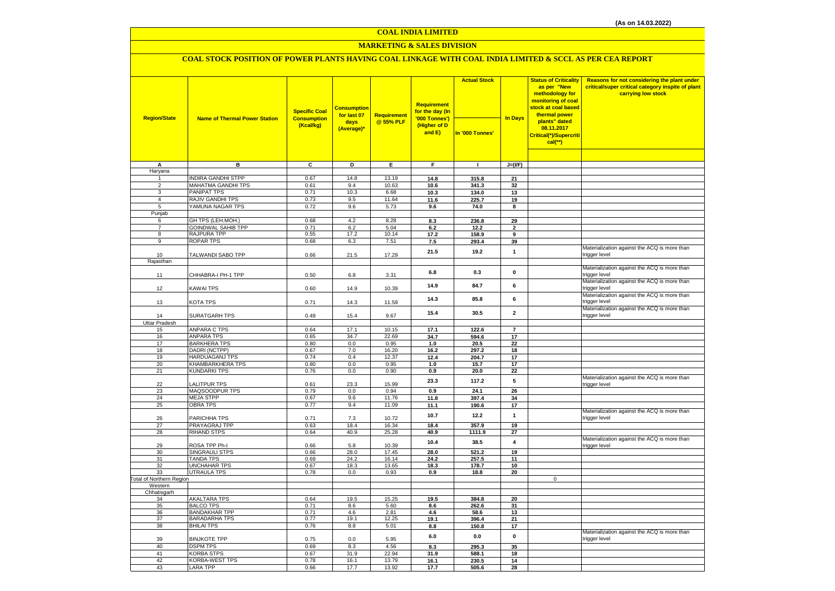#### **COAL INDIA LIMITED**

## **MARKETING & SALES DIVISION**

## **COAL STOCK POSITION OF POWER PLANTS HAVING COAL LINKAGE WITH COAL INDIA LIMITED & SCCL AS PER CEA REPORT**

|                            |                                         | <b>Specific Coal</b> | <b>Consumption</b><br>for last 07 | Requirement    | <b>Requirement</b><br>for the day (In | <b>Actual Stock</b> |                | <b>Status of Criticality</b><br>as per "New<br>methodology for<br>monitoring of coal<br>stock at coal based<br>thermal power | Reasons for not considering the plant under<br>critical/super critical category inspite of plant<br>carrying low stock |
|----------------------------|-----------------------------------------|----------------------|-----------------------------------|----------------|---------------------------------------|---------------------|----------------|------------------------------------------------------------------------------------------------------------------------------|------------------------------------------------------------------------------------------------------------------------|
| <b>Region/State</b>        | <b>Name of Thermal Power Station</b>    | <b>Consumption</b>   | days                              | @ 55% PLF      | '000 Tonnes')                         |                     | <b>In Days</b> | plants" dated                                                                                                                |                                                                                                                        |
|                            |                                         | (Kcal/kg)            | (Average)*                        |                | (Higher of D<br>and E)                | In '000 Tonnes'     |                | 08.11.2017<br>Critical(*)/Supercriti<br>$cal$ (**)                                                                           |                                                                                                                        |
|                            |                                         |                      |                                   |                |                                       |                     |                |                                                                                                                              |                                                                                                                        |
| Α                          | в                                       | c                    | Þ                                 | Ε              | F                                     | $\mathbf{I}$        | $J=(I/F)$      |                                                                                                                              |                                                                                                                        |
| Haryana                    |                                         |                      |                                   |                |                                       |                     |                |                                                                                                                              |                                                                                                                        |
|                            | <b>INDIRA GANDHI STPP</b>               | 0.67                 | 14.8                              | 13.19          | 14.8                                  | 315.8               | 21             |                                                                                                                              |                                                                                                                        |
| $\overline{2}$<br>3        | MAHATMA GANDHI TPS<br>PANIPAT TPS       | 0.61<br>0.71         | 9.4<br>10.3                       | 10.63<br>6.68  | 10.6                                  | 341.3               | 32             |                                                                                                                              |                                                                                                                        |
| $\overline{4}$             | RAJIV GANDHI TPS                        | 0.73                 | 9.5                               | 11.64          | 10.3<br>11.6                          | 134.0<br>225.7      | 13<br>19       |                                                                                                                              |                                                                                                                        |
| 5                          | YAMUNA NAGAR TPS                        | 0.72                 | 9.6                               | 5.73           | 9.6                                   | 74.0                | 8              |                                                                                                                              |                                                                                                                        |
| Punjab                     |                                         |                      |                                   |                |                                       |                     |                |                                                                                                                              |                                                                                                                        |
| 6                          | GH TPS (LEH.MOH.)                       | 0.68                 | 4.2                               | 8.28           | 8.3                                   | 236.8               | 29             |                                                                                                                              |                                                                                                                        |
| $\overline{7}$             | <b>GOINDWAL SAHIB TPP</b>               | 0.71                 | 6.2                               | 5.04           | 6.2                                   | 12.2                | $\overline{2}$ |                                                                                                                              |                                                                                                                        |
| 8                          | RAJPURA TPP                             | 0.55                 | 17.2                              | 10.14          | 17.2                                  | 158.9               | 9              |                                                                                                                              |                                                                                                                        |
| 9                          | <b>ROPAR TPS</b>                        | 0.68                 | 6.3                               | 7.51           | 7.5                                   | 293.4               | 39             |                                                                                                                              |                                                                                                                        |
| 10                         | TALWANDI SABO TPP                       | 0.66                 | 21.5                              | 17.29          | 21.5                                  | 19.2                | $\mathbf{1}$   |                                                                                                                              | Materialization against the ACQ is more than<br>trigger level                                                          |
| Rajasthan                  |                                         |                      |                                   |                |                                       |                     |                |                                                                                                                              | Materialization against the ACQ is more than                                                                           |
| 11                         | CHHABRA-I PH-1 TPP                      | 0.50                 | 6.8                               | 3.31           | 6.8                                   | 0.3                 | 0              |                                                                                                                              | trigger level<br>Materialization against the ACQ is more than                                                          |
| 12                         | KAWAI TPS                               | 0.60                 | 14.9                              | 10.39          | 14.9                                  | 84.7                | 6              |                                                                                                                              | trigger level<br>Materialization against the ACQ is more than                                                          |
| 13                         | KOTA TPS                                | 0.71                 | 14.3                              | 11.59          | 14.3                                  | 85.8                | 6              |                                                                                                                              | trigger level<br>Materialization against the ACQ is more than                                                          |
| 14<br><b>Uttar Pradesh</b> | SURATGARH TPS                           | 0.49                 | 15.4                              | 9.67           | 15.4                                  | 30.5                | $\mathbf{2}$   |                                                                                                                              | trigger level                                                                                                          |
| 15                         | <b>ANPARA C TPS</b>                     | 0.64                 | 17.1                              | 10.15          | 17.1                                  | 122.6               | $\overline{7}$ |                                                                                                                              |                                                                                                                        |
| 16                         | <b>ANPARA TPS</b>                       | 0.65                 | 34.7                              | 22.69          | 34.7                                  | 594.6               | 17             |                                                                                                                              |                                                                                                                        |
| 17                         | <b>BARKHERA TPS</b>                     | 0.80                 | 0.0                               | 0.95           | 1.0                                   | 20.5                | 22             |                                                                                                                              |                                                                                                                        |
| 18                         | DADRI (NCTPP)                           | 0.67                 | 7.0                               | 16.20          | 16.2                                  | 297.2               | 18             |                                                                                                                              |                                                                                                                        |
| 19                         | <b>HARDUAGANJ TPS</b>                   | 0.74                 | 0.4                               | 12.37          | 12.4                                  | 204.7               | 17             |                                                                                                                              |                                                                                                                        |
| 20                         | KHAMBARKHERA TPS                        | 0.80                 | 0.0                               | 0.95           | 1.0                                   | 15.7                | 17             |                                                                                                                              |                                                                                                                        |
| 21<br>22                   | <b>KUNDARKI TPS</b><br>LALITPUR TPS     | 0.76                 | 0.0                               | 0.90           | 0.9<br>23.3                           | 20.0<br>117.2       | 22<br>5        |                                                                                                                              | Materialization against the ACQ is more than                                                                           |
| 23                         | MAQSOODPUR TPS                          | 0.61<br>0.79         | 23.3<br>0.0                       | 15.99<br>0.94  | 0.9                                   | 24.1                | 26             |                                                                                                                              | trigger level                                                                                                          |
| 24                         | <b>MEJA STPP</b>                        | 0.67                 | 9.6                               | 11.76          | 11.8                                  | 397.4               | 34             |                                                                                                                              |                                                                                                                        |
| 25                         | <b>OBRA TPS</b>                         | 0.77                 | 9.4                               | 11.09          | 11.1                                  | 190.6               | 17             |                                                                                                                              |                                                                                                                        |
| 26                         | PARICHHA TPS                            | 0.71                 | 7.3                               | 10.72          | 10.7                                  | 12.2                | $\mathbf{1}$   |                                                                                                                              | Materialization against the ACQ is more than<br>trigger level                                                          |
| 27                         | PRAYAGRAJ TPP                           | 0.63                 | 18.4                              | 16.34          | 18.4                                  | 357.9               | 19             |                                                                                                                              |                                                                                                                        |
| 28                         | RIHAND STPS                             | 0.64                 | 40.9                              | 25.28          | 40.9                                  | 1111.9              | 27             |                                                                                                                              |                                                                                                                        |
| 29                         | ROSA TPP Ph-I                           | 0.66                 | 5.8                               | 10.39          | 10.4                                  | 38.5                | 4              |                                                                                                                              | Materialization against the ACQ is more than<br>trigger level                                                          |
| 30                         | SINGRAULI STPS                          | 0.66                 | 28.0                              | 17.45          | 28.0                                  | 521.2               | 19             |                                                                                                                              |                                                                                                                        |
| 31<br>32                   | <b>TANDA TPS</b><br><b>UNCHAHAR TPS</b> | 0.69<br>0.67         | 24.2<br>18.3                      | 16.14<br>13.65 | 24.2<br>18.3                          | 257.5<br>178.7      | 11<br>10       |                                                                                                                              |                                                                                                                        |
| 33                         | <b>UTRAULA TPS</b>                      | 0.78                 | 0.0                               | 0.93           | 0.9                                   | 18.8                | 20             |                                                                                                                              |                                                                                                                        |
| Total of Northern Region   |                                         |                      |                                   |                |                                       |                     |                | $\mathbf 0$                                                                                                                  |                                                                                                                        |
| Western                    |                                         |                      |                                   |                |                                       |                     |                |                                                                                                                              |                                                                                                                        |
| Chhatisgarh                |                                         |                      |                                   |                |                                       |                     |                |                                                                                                                              |                                                                                                                        |
| 34<br>35                   | <b>AKALTARA TPS</b><br><b>BALCO TPS</b> | 0.64<br>0.71         | 19.5<br>8.6                       | 15.25<br>5.60  | 19.5<br>8.6                           | 384.8<br>262.6      | 20<br>31       |                                                                                                                              |                                                                                                                        |
| 36                         | <b>BANDAKHAR TPP</b>                    | 0.71                 | 4.6                               | 2.81           | 4.6                                   | 58.6                | 13             |                                                                                                                              |                                                                                                                        |
| 37                         | <b>BARADARHA TPS</b>                    | 0.77                 | 19.1                              | 12.25          | 19.1                                  | 396.4               | 21             |                                                                                                                              |                                                                                                                        |
| 38                         | <b>BHILAI TPS</b>                       | 0.76                 | 8.8                               | 5.01           | 8.8                                   | 150.8               | 17             |                                                                                                                              |                                                                                                                        |
| 39                         | <b>BINJKOTE TPP</b>                     | 0.75                 | 0.0                               | 5.95           | $6.0\,$                               | 0.0                 | $\pmb{0}$      |                                                                                                                              | Materialization against the ACQ is more than<br>trigger level                                                          |
| 40                         | <b>DSPM TPS</b>                         | 0.69                 | 8.3                               | 4.56           | 8.3                                   | 295.3               | 35             |                                                                                                                              |                                                                                                                        |
| 41                         | <b>KORBA STPS</b>                       | 0.67                 | 31.9                              | 22.94          | 31.9                                  | 588.1               | 18             |                                                                                                                              |                                                                                                                        |
| 42                         | KORBA-WEST TPS                          | 0.78                 | 16.1                              | 13.79          | 16.1                                  | 230.5               | 14             |                                                                                                                              |                                                                                                                        |
| 43                         | <b>LARA TPP</b>                         | 0.66                 | 17.7                              | 13.92          | 17.7                                  | 505.6               | 28             |                                                                                                                              |                                                                                                                        |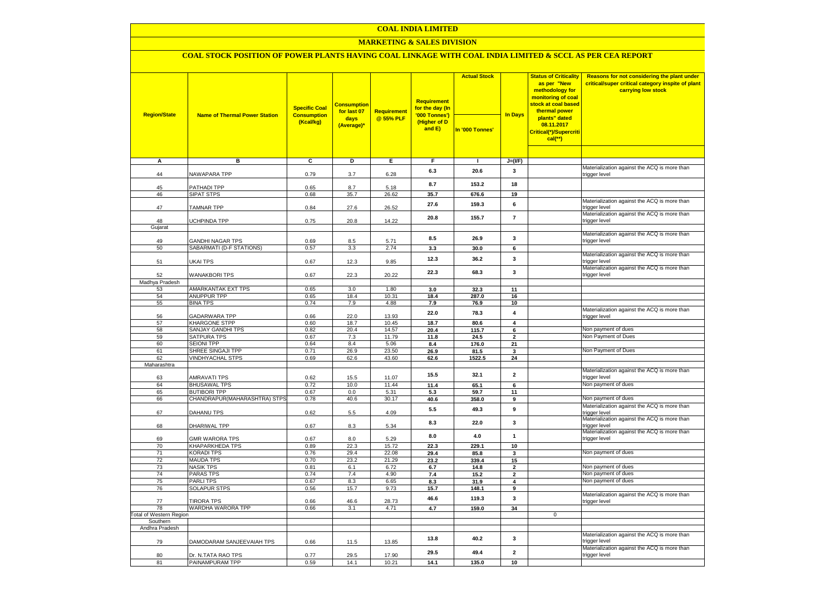### **COAL INDIA LIMITED**

### **MARKETING & SALES DIVISION**

# **COAL STOCK POSITION OF POWER PLANTS HAVING COAL LINKAGE WITH COAL INDIA LIMITED & SCCL AS PER CEA REPORT**

| <b>Region/State</b>                        | <b>Name of Thermal Power Station</b>         | <b>Specific Coal</b><br><b>Consumption</b><br>(Kcal/kg) | <b>Consumption</b><br>for last 07<br>days<br>(Average)* | <b>Requirement</b><br>@ 55% PLF | <b>Requirement</b><br>for the day (In<br>'000 Tonnes')<br>(Higher of D<br>and E) | <b>Actual Stock</b><br>In '000 Tonnes' | <b>In Days</b>          | <b>Status of Criticality</b><br>as per "New<br>methodology for<br>monitoring of coal<br>stock at coal based<br>thermal power<br>plants" dated<br>08.11.2017<br>Critical(*)/Supercriti | Reasons for not considering the plant under<br>critical/super critical category inspite of plant<br>carrying low stock |
|--------------------------------------------|----------------------------------------------|---------------------------------------------------------|---------------------------------------------------------|---------------------------------|----------------------------------------------------------------------------------|----------------------------------------|-------------------------|---------------------------------------------------------------------------------------------------------------------------------------------------------------------------------------|------------------------------------------------------------------------------------------------------------------------|
|                                            |                                              |                                                         |                                                         |                                 |                                                                                  |                                        |                         | $cal$ (**)                                                                                                                                                                            |                                                                                                                        |
|                                            |                                              |                                                         |                                                         |                                 |                                                                                  |                                        |                         |                                                                                                                                                                                       |                                                                                                                        |
| A                                          | в                                            | c                                                       | D                                                       | Ε                               | F                                                                                | $\blacksquare$                         | $J=(I/F)$               |                                                                                                                                                                                       |                                                                                                                        |
| 44                                         | NAWAPARA TPP                                 | 0.79                                                    | 3.7                                                     | 6.28                            | 6.3                                                                              | 20.6                                   | 3                       |                                                                                                                                                                                       | Materialization against the ACQ is more than<br>trigger level                                                          |
| 45                                         | PATHADI TPP                                  | 0.65                                                    | 8.7                                                     | 5.18                            | 8.7                                                                              | 153.2                                  | 18                      |                                                                                                                                                                                       |                                                                                                                        |
| 46                                         | <b>SIPAT STPS</b>                            | 0.68                                                    | 35.7                                                    | 26.62                           | 35.7                                                                             | 676.6                                  | 19                      |                                                                                                                                                                                       |                                                                                                                        |
| 47                                         | <b>TAMNAR TPP</b>                            | 0.84                                                    | 27.6                                                    | 26.52                           | 27.6                                                                             | 159.3                                  | 6                       |                                                                                                                                                                                       | Materialization against the ACQ is more than<br>trigger level                                                          |
| 48                                         | <b>UCHPINDA TPP</b>                          | 0.75                                                    | 20.8                                                    | 14.22                           | 20.8                                                                             | 155.7                                  | $\overline{7}$          |                                                                                                                                                                                       | Materialization against the ACQ is more than<br>trigger level                                                          |
| Gujarat                                    |                                              |                                                         |                                                         |                                 |                                                                                  |                                        |                         |                                                                                                                                                                                       | Materialization against the ACQ is more than                                                                           |
| 49                                         | <b>GANDHI NAGAR TPS</b>                      | 0.69                                                    | 8.5                                                     | 5.71                            | 8.5                                                                              | 26.9                                   | 3                       |                                                                                                                                                                                       | trigger level                                                                                                          |
| 50                                         | SABARMATI (D-F STATIONS)                     | 0.57                                                    | 3.3                                                     | 2.74                            | 3.3                                                                              | 30.0                                   | 6                       |                                                                                                                                                                                       |                                                                                                                        |
| 51                                         | UKAI TPS                                     | 0.67                                                    | 12.3                                                    | 9.85                            | 12.3                                                                             | 36.2                                   | 3                       |                                                                                                                                                                                       | Materialization against the ACQ is more than<br>trigger level                                                          |
| 52                                         | <b>WANAKBORI TPS</b>                         | 0.67                                                    | 22.3                                                    | 20.22                           | 22.3                                                                             | 68.3                                   | $\mathbf{3}$            |                                                                                                                                                                                       | Materialization against the ACQ is more than<br>trigger level                                                          |
| Madhya Pradesh                             |                                              |                                                         |                                                         |                                 |                                                                                  |                                        |                         |                                                                                                                                                                                       |                                                                                                                        |
| 53<br>54                                   | AMARKANTAK EXT TPS<br><b>ANUPPUR TPP</b>     | 0.65<br>0.65                                            | 3.0<br>18.4                                             | 1.80<br>10.31                   | 3.0<br>18.4                                                                      | 32.3<br>287.0                          | 11<br>16                |                                                                                                                                                                                       |                                                                                                                        |
| 55                                         | <b>BINA TPS</b>                              | 0.74                                                    | 7.9                                                     | 4.88                            | 7.9                                                                              | 76.9                                   | 10                      |                                                                                                                                                                                       |                                                                                                                        |
| 56                                         | GADARWARA TPP                                | 0.66                                                    | 22.0                                                    | 13.93                           | 22.0                                                                             | 78.3                                   | 4                       |                                                                                                                                                                                       | Materialization against the ACQ is more than<br>trigger level                                                          |
| 57                                         | KHARGONE STPP                                | 0.60                                                    | 18.7                                                    | 10.45                           | 18.7                                                                             | 80.6                                   | 4                       |                                                                                                                                                                                       |                                                                                                                        |
| 58                                         | SANJAY GANDHI TPS                            | 0.82                                                    | 20.4                                                    | 14.57                           | 20.4                                                                             | 115.7                                  | $6\overline{6}$         |                                                                                                                                                                                       | Non payment of dues                                                                                                    |
| 59                                         | <b>SATPURA TPS</b>                           | 0.67                                                    | 7.3                                                     | 11.79                           | 11.8                                                                             | 24.5                                   | $\mathbf{2}$            |                                                                                                                                                                                       | Non Payment of Dues                                                                                                    |
| 60                                         | <b>SEIONI TPP</b>                            | 0.64                                                    | 8.4                                                     | 5.06                            | 8.4                                                                              | 176.0                                  | 21                      |                                                                                                                                                                                       |                                                                                                                        |
| 61<br>62                                   | SHREE SINGAJI TPP<br><b>VINDHYACHAL STPS</b> | 0.71<br>0.69                                            | 26.9<br>62.6                                            | 23.50<br>43.60                  | 26.9<br>62.6                                                                     | 81.5<br>1522.5                         | 3<br>24                 |                                                                                                                                                                                       | Non Payment of Dues                                                                                                    |
| Maharashtra                                |                                              |                                                         |                                                         |                                 |                                                                                  |                                        |                         |                                                                                                                                                                                       |                                                                                                                        |
| 63                                         | <b>AMRAVATI TPS</b>                          | 0.62                                                    | 15.5                                                    | 11.07                           | 15.5                                                                             | 32.1                                   | $\overline{\mathbf{2}}$ |                                                                                                                                                                                       | Materialization against the ACQ is more than<br>trigger level                                                          |
| 64                                         | <b>BHUSAWAL TPS</b>                          | 0.72                                                    | 10.0                                                    | 11.44                           | 11.4                                                                             | 65.1                                   | 6                       |                                                                                                                                                                                       | Non payment of dues                                                                                                    |
| 65                                         | <b>BUTIBORI TPP</b>                          | 0.67                                                    | 0.0                                                     | 5.31                            | 5.3                                                                              | 59.7                                   | 11                      |                                                                                                                                                                                       |                                                                                                                        |
| 66                                         | CHANDRAPUR(MAHARASHTRA) STPS                 | 0.78                                                    | 40.6                                                    | 30.17                           | 40.6                                                                             | 358.0                                  | 9                       |                                                                                                                                                                                       | Non payment of dues                                                                                                    |
| 67                                         | <b>DAHANU TPS</b>                            | 0.62                                                    | 5.5                                                     | 4.09                            | 5.5                                                                              | 49.3                                   | 9                       |                                                                                                                                                                                       | Materialization against the ACQ is more than<br>trigger level                                                          |
| 68                                         | DHARIWAL TPP                                 | 0.67                                                    | 8.3                                                     | 5.34                            | 8.3                                                                              | 22.0                                   | 3                       |                                                                                                                                                                                       | Materialization against the ACQ is more than<br>trigger level                                                          |
| 69                                         | <b>GMR WARORA TPS</b>                        | 0.67                                                    | 8.0                                                     | 5.29                            | 8.0                                                                              | $4.0\,$                                | $\mathbf{1}$            |                                                                                                                                                                                       | Materialization against the ACQ is more than<br>trigger level                                                          |
| 70                                         | <b>KHAPARKHEDA TPS</b>                       | 0.89                                                    | 22.3                                                    | 15.72                           | 22.3                                                                             | 229.1                                  | 10                      |                                                                                                                                                                                       |                                                                                                                        |
| 71<br>72                                   | <b>KORADI TPS</b><br><b>MAUDA TPS</b>        | 0.76<br>0.70                                            | 29.4<br>23.2                                            | 22.08<br>21.29                  | 29.4<br>23.2                                                                     | 85.8<br>339.4                          | 3<br>15                 |                                                                                                                                                                                       | Non payment of dues                                                                                                    |
| 73                                         | <b>NASIK TPS</b>                             | 0.81                                                    | 6.1                                                     | 6.72                            | 6.7                                                                              | 14.8                                   | $\overline{2}$          |                                                                                                                                                                                       | Non payment of dues                                                                                                    |
| 74                                         | <b>PARAS TPS</b>                             | 0.74                                                    | 7.4                                                     | 4.90                            | 7.4                                                                              | 15.2                                   | $\overline{2}$          |                                                                                                                                                                                       | Non payment of dues                                                                                                    |
| 75                                         | <b>PARLITPS</b>                              | 0.67                                                    | 8.3                                                     | 6.65                            | 8.3                                                                              | 31.9                                   | 4                       |                                                                                                                                                                                       | Non payment of dues                                                                                                    |
| 76                                         | <b>SOLAPUR STPS</b>                          | 0.56                                                    | 15.7                                                    | 9.73                            | 15.7                                                                             | 148.1                                  | 9                       |                                                                                                                                                                                       |                                                                                                                        |
| 77                                         | <b>TIRORA TPS</b>                            | 0.66                                                    | 46.6                                                    | 28.73                           | 46.6                                                                             | 119.3                                  | 3                       |                                                                                                                                                                                       | Materialization against the ACQ is more than<br>trigger level                                                          |
| 78                                         | WARDHA WARORA TPP                            | 0.66                                                    | 3.1                                                     | 4.71                            | 4.7                                                                              | 159.0                                  | 34                      |                                                                                                                                                                                       |                                                                                                                        |
| <b>Total of Western Region</b><br>Southern |                                              |                                                         |                                                         |                                 |                                                                                  |                                        |                         | $\mathbf 0$                                                                                                                                                                           |                                                                                                                        |
| Andhra Pradesh                             |                                              |                                                         |                                                         |                                 |                                                                                  |                                        |                         |                                                                                                                                                                                       |                                                                                                                        |
| 79                                         | DAMODARAM SANJEEVAIAH TPS                    | 0.66                                                    | 11.5                                                    | 13.85                           | 13.8                                                                             | 40.2                                   | 3                       |                                                                                                                                                                                       | Materialization against the ACQ is more than<br>trigger level                                                          |
| 80                                         | Dr. N.TATA RAO TPS                           | 0.77                                                    | 29.5                                                    | 17.90                           | 29.5                                                                             | 49.4                                   | $\overline{2}$          |                                                                                                                                                                                       | Materialization against the ACQ is more than<br>trigger level                                                          |
| 81                                         | PAINAMPURAM TPP                              | 0.59                                                    | 14.1                                                    | 10.21                           | 14.1                                                                             | 135.0                                  | 10                      |                                                                                                                                                                                       |                                                                                                                        |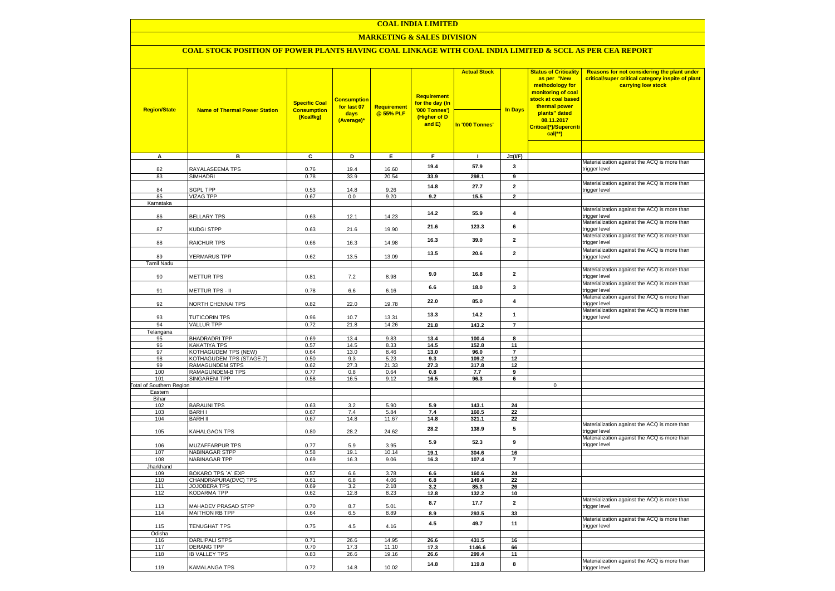### **COAL INDIA LIMITED**

### **MARKETING & SALES DIVISION**

### **COAL STOCK POSITION OF POWER PLANTS HAVING COAL LINKAGE WITH COAL INDIA LIMITED & SCCL AS PER CEA REPORT**

|                                        |                                      | <b>Specific Coal</b>            | <b>Consumption</b><br>for last 07 | Requirement    | <b>Requirement</b><br>for the day (In   | <b>Actual Stock</b> |                         | <b>Status of Criticality</b><br>as per "New<br>methodology for<br>monitoring of coal<br><mark>stock at coal based</mark><br>thermal power | Reasons for not considering the plant under<br>critical/super critical category inspite of plant<br>carrying low stock |
|----------------------------------------|--------------------------------------|---------------------------------|-----------------------------------|----------------|-----------------------------------------|---------------------|-------------------------|-------------------------------------------------------------------------------------------------------------------------------------------|------------------------------------------------------------------------------------------------------------------------|
| <b>Region/State</b>                    | <b>Name of Thermal Power Station</b> | <b>Consumption</b><br>(Kcal/kg) | days<br>(Average)*                | @ 55% PLF      | '000 Tonnes')<br>(Higher of D<br>and E) | In '000 Tonnes'     | <b>In Days</b>          | plants" dated<br>08.11.2017<br>Critical(*)/Supercriti<br>$cal$ (**)                                                                       |                                                                                                                        |
|                                        |                                      |                                 |                                   |                |                                         |                     |                         |                                                                                                                                           |                                                                                                                        |
| $\overline{A}$                         | в                                    | c                               | Þ                                 | E              | F                                       | $\mathbf{I}$        | $J=(I/F)$               |                                                                                                                                           | Materialization against the ACQ is more than                                                                           |
| 82                                     | RAYALASEEMA TPS                      | 0.76                            | 19.4                              | 16.60          | 19.4                                    | 57.9                | 3                       |                                                                                                                                           | trigger level                                                                                                          |
| 83                                     | <b>SIMHADRI</b>                      | 0.78                            | 33.9                              | 20.54          | 33.9                                    | 298.1               | $\overline{9}$          |                                                                                                                                           |                                                                                                                        |
|                                        |                                      |                                 |                                   |                | 14.8                                    | 27.7                | $\overline{2}$          |                                                                                                                                           | Materialization against the ACQ is more than                                                                           |
| 84                                     | <b>SGPL TPP</b>                      | 0.53                            | 14.8                              | 9.26           |                                         |                     |                         |                                                                                                                                           | trigger level                                                                                                          |
| 85                                     | <b>VIZAG TPP</b>                     | 0.67                            | 0.0                               | 9.20           | 9.2                                     | 15.5                | $\overline{2}$          |                                                                                                                                           |                                                                                                                        |
| Karnataka                              |                                      |                                 |                                   |                |                                         |                     |                         |                                                                                                                                           | Materialization against the ACQ is more than                                                                           |
| 86                                     | <b>BELLARY TPS</b>                   | 0.63                            | 12.1                              | 14.23          | 14.2                                    | 55.9                | $\overline{\mathbf{4}}$ |                                                                                                                                           | trigger level                                                                                                          |
| 87                                     | KUDGI STPP                           | 0.63                            | 21.6                              | 19.90          | 21.6                                    | 123.3               | 6                       |                                                                                                                                           | Materialization against the ACQ is more than<br>trigger level                                                          |
| 88                                     | RAICHUR TPS                          | 0.66                            | 16.3                              | 14.98          | 16.3                                    | 39.0                | $\overline{2}$          |                                                                                                                                           | Materialization against the ACQ is more than<br>trigger level                                                          |
|                                        |                                      |                                 |                                   |                | 13.5                                    | 20.6                | $\overline{2}$          |                                                                                                                                           | Materialization against the ACQ is more than                                                                           |
| 89                                     | YERMARUS TPP                         | 0.62                            | 13.5                              | 13.09          |                                         |                     |                         |                                                                                                                                           | trigger level                                                                                                          |
| <b>Tamil Nadu</b>                      |                                      |                                 |                                   |                |                                         |                     |                         |                                                                                                                                           | Materialization against the ACQ is more than                                                                           |
| 90                                     | <b>METTUR TPS</b>                    | 0.81                            | 7.2                               | 8.98           | 9.0                                     | 16.8                | $\overline{\mathbf{2}}$ |                                                                                                                                           | trigger level                                                                                                          |
|                                        |                                      |                                 |                                   |                | 6.6                                     | 18.0                | $\mathbf{3}$            |                                                                                                                                           | Materialization against the ACQ is more than                                                                           |
| 91                                     | METTUR TPS - II                      | 0.78                            | 6.6                               | 6.16           |                                         |                     |                         |                                                                                                                                           | trigger level<br>Materialization against the ACQ is more than                                                          |
| 92                                     | NORTH CHENNAI TPS                    | 0.82                            | 22.0                              | 19.78          | 22.0                                    | 85.0                | $\overline{\mathbf{4}}$ |                                                                                                                                           | trigger level                                                                                                          |
| 93                                     | <b>TUTICORIN TPS</b>                 | 0.96                            | 10.7                              | 13.31          | 13.3                                    | 14.2                | $\mathbf{1}$            |                                                                                                                                           | Materialization against the ACQ is more than<br>trigger level                                                          |
| 94                                     | <b>VALLUR TPP</b>                    | 0.72                            | 21.8                              | 14.26          | 21.8                                    | 143.2               |                         |                                                                                                                                           |                                                                                                                        |
| Telangana                              | <b>BHADRADRI TPP</b>                 | 0.69                            | 13.4                              | 9.83           |                                         |                     |                         |                                                                                                                                           |                                                                                                                        |
| 95<br>96                               | KAKATIYA TPS                         | 0.57                            | 14.5                              | 8.33           | 13.4<br>14.5                            | 100.4<br>152.8      | 8<br>11                 |                                                                                                                                           |                                                                                                                        |
| 97                                     | KOTHAGUDEM TPS (NEW)                 | 0.64                            | 13.0                              | 8.46           | $13.0$                                  | 96.0                | $\overline{7}$          |                                                                                                                                           |                                                                                                                        |
| 98                                     | KOTHAGUDEM TPS (STAGE-7)             | 0.50                            | 9.3                               | 5.23           | 9.3                                     | 109.2               | 12                      |                                                                                                                                           |                                                                                                                        |
| 99                                     | <b>RAMAGUNDEM STPS</b>               | 0.62                            | 27.3                              | 21.33          | 27.3                                    | 317.8               | 12                      |                                                                                                                                           |                                                                                                                        |
| 100                                    | RAMAGUNDEM-B TPS                     | 0.77                            | 0.8                               | 0.64           | 0.8                                     | 7.7                 | 9                       |                                                                                                                                           |                                                                                                                        |
| 101<br><b>Total of Southern Region</b> | <b>SINGARENI TPP</b>                 | 0.58                            | 16.5                              | 9.12           | 16.5                                    | 96.3                | 6                       | $\mathbf 0$                                                                                                                               |                                                                                                                        |
| Eastern                                |                                      |                                 |                                   |                |                                         |                     |                         |                                                                                                                                           |                                                                                                                        |
| Bihar                                  |                                      |                                 |                                   |                |                                         |                     |                         |                                                                                                                                           |                                                                                                                        |
| 102                                    | <b>BARAUNI TPS</b>                   | 0.63                            | 3.2                               | 5.90           | 5.9                                     | 143.1               | 24                      |                                                                                                                                           |                                                                                                                        |
| 103                                    | <b>BARHI</b>                         | 0.67                            | 7.4                               | 5.84           | 7.4                                     | 160.5               | 22                      |                                                                                                                                           |                                                                                                                        |
| 104                                    | <b>BARH II</b>                       | 0.67                            | 14.8                              | 11.67          | 14.8                                    | 321.1               | 22                      |                                                                                                                                           | Materialization against the ACQ is more than                                                                           |
| 105                                    | KAHALGAON TPS                        | 0.80                            | 28.2                              | 24.62          | 28.2                                    | 138.9               | 5                       |                                                                                                                                           | trigger level<br>Materialization against the ACQ is more than                                                          |
| 106                                    | MUZAFFARPUR TPS                      | 0.77                            | 5.9                               | 3.95           | 5.9                                     | 52.3                | 9                       |                                                                                                                                           | trigger level                                                                                                          |
| 107                                    | <b>NABINAGAR STPP</b>                | 0.58                            | 19.1                              | 10.14          | 19.1                                    | 304.6               | 16                      |                                                                                                                                           |                                                                                                                        |
| 108<br>Jharkhand                       | <b>NABINAGAR TPP</b>                 | 0.69                            | 16.3                              | 9.06           | 16.3                                    | 107.4               | 7                       |                                                                                                                                           |                                                                                                                        |
| 109                                    | BOKARO TPS 'A' EXP                   | 0.57                            | 6.6                               | 3.78           | 6.6                                     | 160.6               | 24                      |                                                                                                                                           |                                                                                                                        |
| 110                                    | CHANDRAPURA(DVC) TPS                 | 0.61                            | 6.8                               | 4.06           | 6.8                                     | 149.4               | 22                      |                                                                                                                                           |                                                                                                                        |
| 111                                    | <b>JOJOBERA TPS</b>                  | 0.69                            | 3.2                               | 2.18           | 3.2                                     | 85.3                | 26                      |                                                                                                                                           |                                                                                                                        |
| 112                                    | <b>KODARMA TPP</b>                   | 0.62                            | 12.8                              | 8.23           | 12.8                                    | 132.2               | 10                      |                                                                                                                                           |                                                                                                                        |
| 113                                    | MAHADEV PRASAD STPP                  | 0.70                            | 8.7                               | 5.01           | 8.7                                     | 17.7                | $\mathbf{2}$            |                                                                                                                                           | Materialization against the ACQ is more than<br>trigger level                                                          |
| 114                                    | <b>MAITHON RB TPP</b>                | 0.64                            | 6.5                               | 8.89           | 8.9                                     | 293.5               | 33                      |                                                                                                                                           |                                                                                                                        |
| 115                                    | TENUGHAT TPS                         | 0.75                            | 4.5                               | 4.16           | 4.5                                     | 49.7                | 11                      |                                                                                                                                           | Materialization against the ACQ is more than<br>trigger level                                                          |
| Odisha                                 |                                      |                                 |                                   |                |                                         |                     |                         |                                                                                                                                           |                                                                                                                        |
| 116<br>117                             | DARLIPALI STPS<br><b>DERANG TPP</b>  | 0.71<br>0.70                    | 26.6<br>17.3                      | 14.95<br>11.10 | 26.6<br>17.3                            | 431.5<br>1146.6     | 16<br>66                |                                                                                                                                           |                                                                                                                        |
| 118                                    | <b>IB VALLEY TPS</b>                 | 0.83                            | 26.6                              | 19.16          | 26.6                                    | 299.4               | 11                      |                                                                                                                                           |                                                                                                                        |
|                                        |                                      |                                 |                                   |                | 14.8                                    | 119.8               | 8                       |                                                                                                                                           | Materialization against the ACQ is more than                                                                           |
| 119                                    | KAMALANGA TPS                        | 0.72                            | 14.8                              | 10.02          |                                         |                     |                         |                                                                                                                                           | trigger level                                                                                                          |